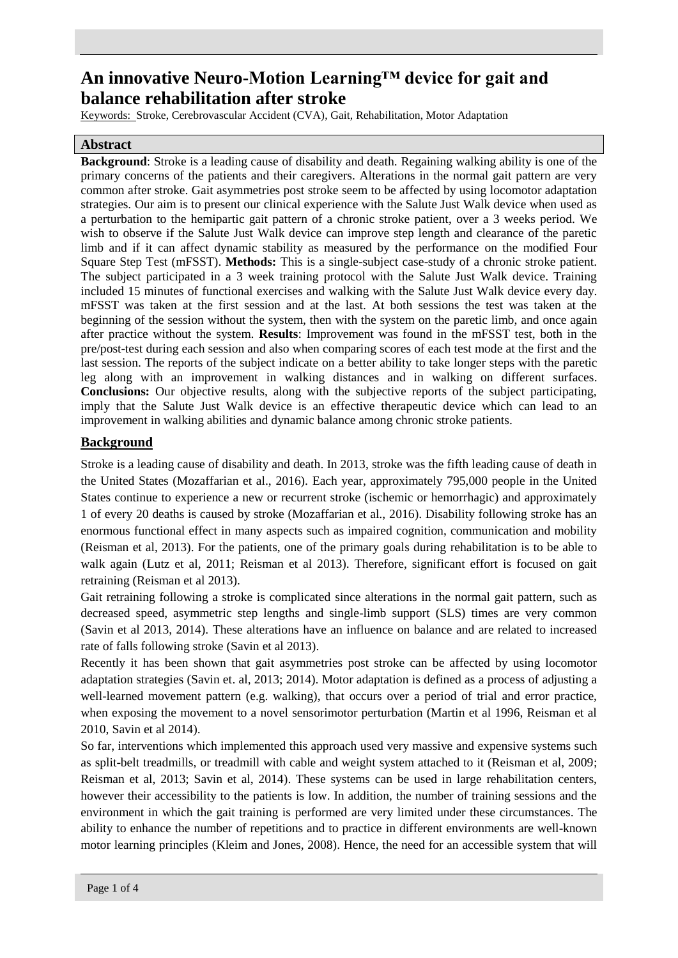# **An innovative Neuro-Motion Learning™ device for gait and balance rehabilitation after stroke**

Keywords: Stroke, Cerebrovascular Accident (CVA), Gait, Rehabilitation, Motor Adaptation

## **Abstract**

**Background**: Stroke is a leading cause of disability and death. Regaining walking ability is one of the primary concerns of the patients and their caregivers. Alterations in the normal gait pattern are very common after stroke. Gait asymmetries post stroke seem to be affected by using locomotor adaptation strategies. Our aim is to present our clinical experience with the Salute Just Walk device when used as a perturbation to the hemipartic gait pattern of a chronic stroke patient, over a 3 weeks period. We wish to observe if the Salute Just Walk device can improve step length and clearance of the paretic limb and if it can affect dynamic stability as measured by the performance on the modified Four Square Step Test (mFSST). **Methods:** This is a single-subject case-study of a chronic stroke patient. The subject participated in a 3 week training protocol with the Salute Just Walk device. Training included 15 minutes of functional exercises and walking with the Salute Just Walk device every day. mFSST was taken at the first session and at the last. At both sessions the test was taken at the beginning of the session without the system, then with the system on the paretic limb, and once again after practice without the system. **Results**: Improvement was found in the mFSST test, both in the pre/post-test during each session and also when comparing scores of each test mode at the first and the last session. The reports of the subject indicate on a better ability to take longer steps with the paretic leg along with an improvement in walking distances and in walking on different surfaces. **Conclusions:** Our objective results, along with the subjective reports of the subject participating, imply that the Salute Just Walk device is an effective therapeutic device which can lead to an improvement in walking abilities and dynamic balance among chronic stroke patients.

# **Background**

Stroke is a leading cause of disability and death. In 2013, stroke was the fifth leading cause of death in the United States (Mozaffarian et al., 2016). Each year, approximately 795,000 people in the United States continue to experience a new or recurrent stroke (ischemic or hemorrhagic) and approximately 1 of every 20 deaths is caused by stroke (Mozaffarian et al., 2016). Disability following stroke has an enormous functional effect in many aspects such as impaired cognition, communication and mobility (Reisman et al, 2013). For the patients, one of the primary goals during rehabilitation is to be able to walk again (Lutz et al, 2011; Reisman et al 2013). Therefore, significant effort is focused on gait retraining (Reisman et al 2013).

Gait retraining following a stroke is complicated since alterations in the normal gait pattern, such as decreased speed, asymmetric step lengths and single-limb support (SLS) times are very common (Savin et al 2013, 2014). These alterations have an influence on balance and are related to increased rate of falls following stroke (Savin et al 2013).

Recently it has been shown that gait asymmetries post stroke can be affected by using locomotor adaptation strategies (Savin et. al, 2013; 2014). Motor adaptation is defined as a process of adjusting a well-learned movement pattern (e.g. walking), that occurs over a period of trial and error practice, when exposing the movement to a novel sensorimotor perturbation (Martin et al 1996, Reisman et al 2010, Savin et al 2014).

So far, interventions which implemented this approach used very massive and expensive systems such as split-belt treadmills, or treadmill with cable and weight system attached to it (Reisman et al, 2009; Reisman et al, 2013; Savin et al, 2014). These systems can be used in large rehabilitation centers, however their accessibility to the patients is low. In addition, the number of training sessions and the environment in which the gait training is performed are very limited under these circumstances. The ability to enhance the number of repetitions and to practice in different environments are well-known motor learning principles (Kleim and Jones, 2008). Hence, the need for an accessible system that will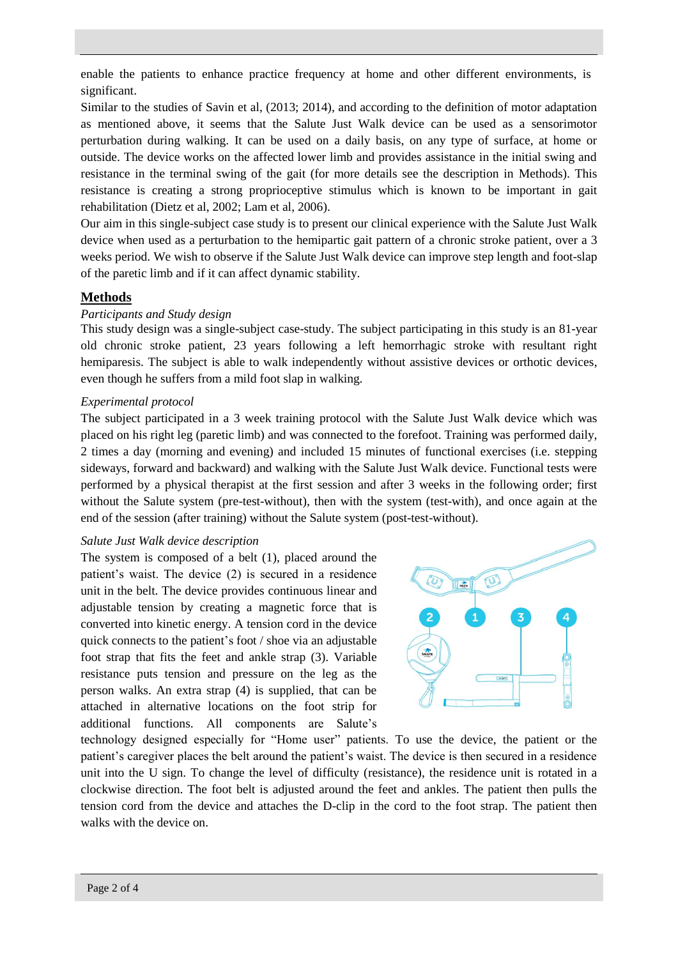enable the patients to enhance practice frequency at home and other different environments, is significant.

Similar to the studies of Savin et al, (2013; 2014), and according to the definition of motor adaptation as mentioned above, it seems that the Salute Just Walk device can be used as a sensorimotor perturbation during walking. It can be used on a daily basis, on any type of surface, at home or outside. The device works on the affected lower limb and provides assistance in the initial swing and resistance in the terminal swing of the gait (for more details see the description in Methods). This resistance is creating a strong proprioceptive stimulus which is known to be important in gait rehabilitation (Dietz et al, 2002; Lam et al, 2006).

Our aim in this single-subject case study is to present our clinical experience with the Salute Just Walk device when used as a perturbation to the hemipartic gait pattern of a chronic stroke patient, over a 3 weeks period. We wish to observe if the Salute Just Walk device can improve step length and foot-slap of the paretic limb and if it can affect dynamic stability.

# **Methods**

## *Participants and Study design*

This study design was a single-subject case-study. The subject participating in this study is an 81-year old chronic stroke patient, 23 years following a left hemorrhagic stroke with resultant right hemiparesis. The subject is able to walk independently without assistive devices or orthotic devices, even though he suffers from a mild foot slap in walking.

#### *Experimental protocol*

The subject participated in a 3 week training protocol with the Salute Just Walk device which was placed on his right leg (paretic limb) and was connected to the forefoot. Training was performed daily, 2 times a day (morning and evening) and included 15 minutes of functional exercises (i.e. stepping sideways, forward and backward) and walking with the Salute Just Walk device. Functional tests were performed by a physical therapist at the first session and after 3 weeks in the following order; first without the Salute system (pre-test-without), then with the system (test-with), and once again at the end of the session (after training) without the Salute system (post-test-without).

#### *Salute Just Walk device description*

The system is composed of a belt (1), placed around the patient's waist. The device (2) is secured in a residence unit in the belt. The device provides continuous linear and adjustable tension by creating a magnetic force that is converted into kinetic energy. A tension cord in the device quick connects to the patient's foot / shoe via an adjustable foot strap that fits the feet and ankle strap (3). Variable resistance puts tension and pressure on the leg as the person walks. An extra strap (4) is supplied, that can be attached in alternative locations on the foot strip for additional functions. All components are Salute's



technology designed especially for "Home user" patients. To use the device, the patient or the patient's caregiver places the belt around the patient's waist. The device is then secured in a residence unit into the U sign. To change the level of difficulty (resistance), the residence unit is rotated in a clockwise direction. The foot belt is adjusted around the feet and ankles. The patient then pulls the tension cord from the device and attaches the D-clip in the cord to the foot strap. The patient then walks with the device on.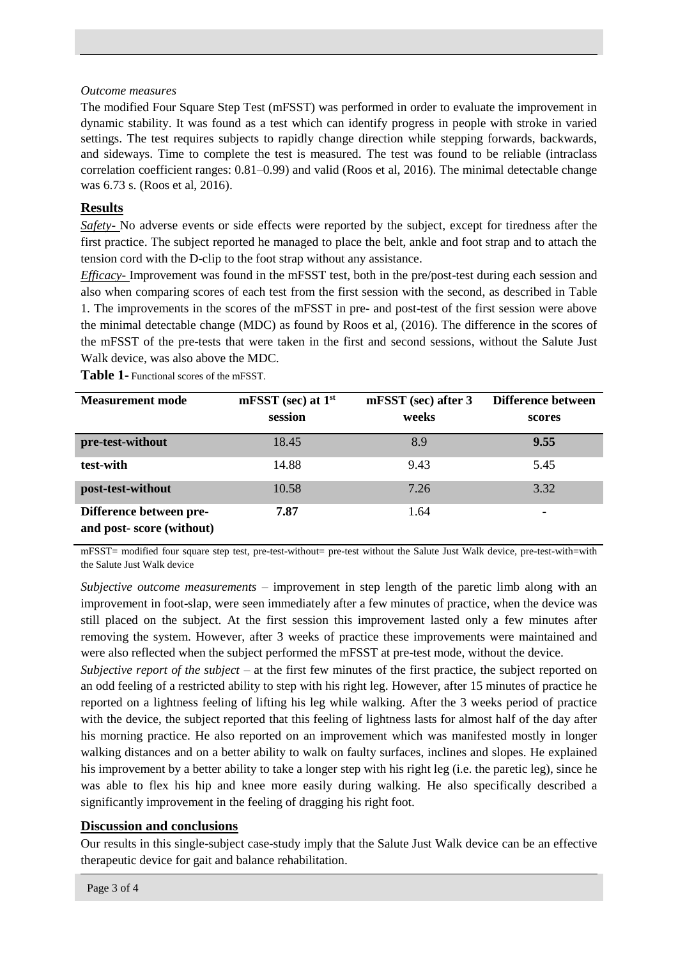## *Outcome measures*

The modified Four Square Step Test (mFSST) was performed in order to evaluate the improvement in dynamic stability. It was found as a test which can identify progress in people with stroke in varied settings. The test requires subjects to rapidly change direction while stepping forwards, backwards, and sideways. Time to complete the test is measured. The test was found to be reliable (intraclass correlation coefficient ranges: 0.81–0.99) and valid (Roos et al, 2016). The minimal detectable change was 6.73 s. (Roos et al, 2016).

# **Results**

*Safety-* No adverse events or side effects were reported by the subject, except for tiredness after the first practice. The subject reported he managed to place the belt, ankle and foot strap and to attach the tension cord with the D-clip to the foot strap without any assistance.

*Efficacy-* Improvement was found in the mFSST test, both in the pre/post-test during each session and also when comparing scores of each test from the first session with the second, as described in Table 1. The improvements in the scores of the mFSST in pre- and post-test of the first session were above the minimal detectable change (MDC) as found by Roos et al, (2016). The difference in the scores of the mFSST of the pre-tests that were taken in the first and second sessions, without the Salute Just Walk device, was also above the MDC.

**Table 1-** Functional scores of the mFSST.

| <b>Measurement mode</b>                             | $mF SST$ (sec) at $1st$ | mFSST (sec) after 3 | Difference between |
|-----------------------------------------------------|-------------------------|---------------------|--------------------|
|                                                     | session                 | weeks               | scores             |
| pre-test-without                                    | 18.45                   | 8.9                 | 9.55               |
| test-with                                           | 14.88                   | 9.43                | 5.45               |
| post-test-without                                   | 10.58                   | 7.26                | 3.32               |
| Difference between pre-<br>and post-score (without) | 7.87                    | 1.64                |                    |

mFSST= modified four square step test, pre-test-without= pre-test without the Salute Just Walk device, pre-test-with=with the Salute Just Walk device

*Subjective outcome measurements* – improvement in step length of the paretic limb along with an improvement in foot-slap, were seen immediately after a few minutes of practice, when the device was still placed on the subject. At the first session this improvement lasted only a few minutes after removing the system. However, after 3 weeks of practice these improvements were maintained and were also reflected when the subject performed the mFSST at pre-test mode, without the device.

*Subjective report of the subject* – at the first few minutes of the first practice, the subject reported on an odd feeling of a restricted ability to step with his right leg. However, after 15 minutes of practice he reported on a lightness feeling of lifting his leg while walking. After the 3 weeks period of practice with the device, the subject reported that this feeling of lightness lasts for almost half of the day after his morning practice. He also reported on an improvement which was manifested mostly in longer walking distances and on a better ability to walk on faulty surfaces, inclines and slopes. He explained his improvement by a better ability to take a longer step with his right leg (i.e. the paretic leg), since he was able to flex his hip and knee more easily during walking. He also specifically described a significantly improvement in the feeling of dragging his right foot.

## **Discussion and conclusions**

Our results in this single-subject case-study imply that the Salute Just Walk device can be an effective therapeutic device for gait and balance rehabilitation.